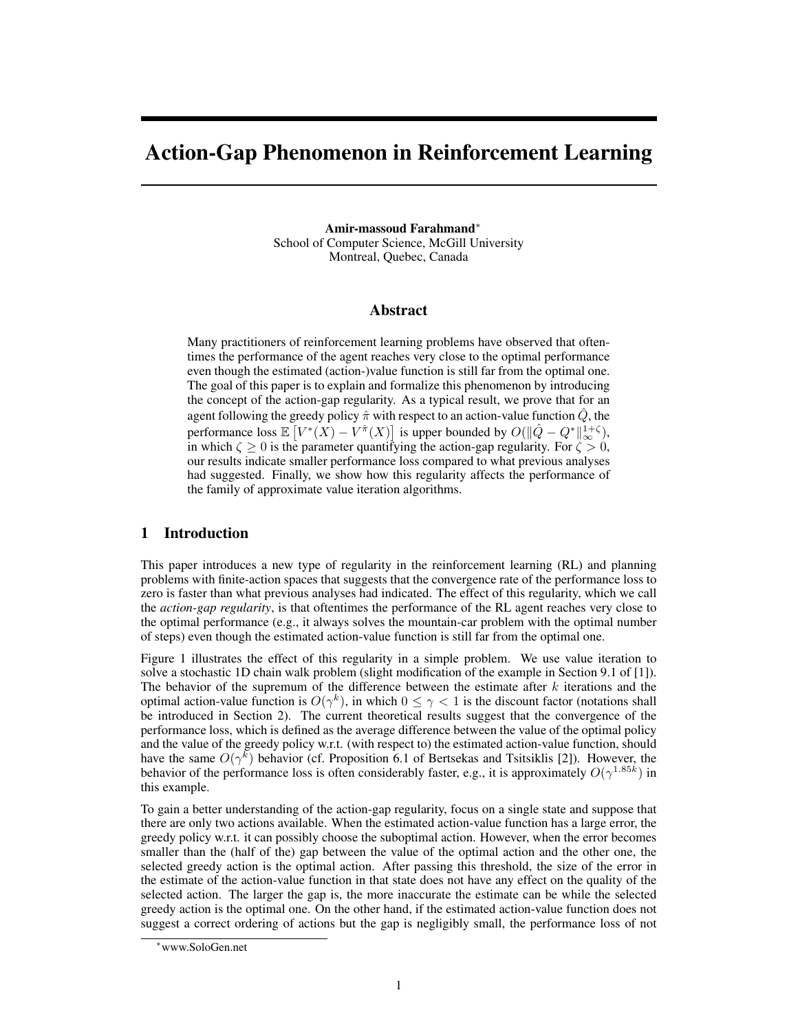# Action-Gap Phenomenon in Reinforcement Learning

Amir-massoud Farahmand<sup>∗</sup> School of Computer Science, McGill University Montreal, Quebec, Canada

#### Abstract

Many practitioners of reinforcement learning problems have observed that oftentimes the performance of the agent reaches very close to the optimal performance even though the estimated (action-)value function is still far from the optimal one. The goal of this paper is to explain and formalize this phenomenon by introducing the concept of the action-gap regularity. As a typical result, we prove that for an agent following the greedy policy  $\hat{\pi}$  with respect to an action-value function  $\hat{Q}$ , the performance loss  $\mathbb{E}\left[V^*(X) - V^{\hat{\pi}}(X)\right]$  is upper bounded by  $O(\|\hat{Q} - Q^*\|_{\infty}^{1+\zeta}),$ in which  $\zeta \ge 0$  is the parameter quantifying the action-gap regularity. For  $\zeta > 0$ , our results indicate smaller performance loss compared to what previous analyses had suggested. Finally, we show how this regularity affects the performance of the family of approximate value iteration algorithms.

## 1 Introduction

This paper introduces a new type of regularity in the reinforcement learning (RL) and planning problems with finite-action spaces that suggests that the convergence rate of the performance loss to zero is faster than what previous analyses had indicated. The effect of this regularity, which we call the *action-gap regularity*, is that oftentimes the performance of the RL agent reaches very close to the optimal performance (e.g., it always solves the mountain-car problem with the optimal number of steps) even though the estimated action-value function is still far from the optimal one.

Figure 1 illustrates the effect of this regularity in a simple problem. We use value iteration to solve a stochastic 1D chain walk problem (slight modification of the example in Section 9.1 of [1]). The behavior of the supremum of the difference between the estimate after  $k$  iterations and the optimal action-value function is  $O(\gamma^k)$ , in which  $0 \leq \gamma < 1$  is the discount factor (notations shall be introduced in Section 2). The current theoretical results suggest that the convergence of the performance loss, which is defined as the average difference between the value of the optimal policy and the value of the greedy policy w.r.t. (with respect to) the estimated action-value function, should have the same  $O(\gamma^k)$  behavior (cf. Proposition 6.1 of Bertsekas and Tsitsiklis [2]). However, the behavior of the performance loss is often considerably faster, e.g., it is approximately  $O(\gamma^{1.85k})$  in this example.

To gain a better understanding of the action-gap regularity, focus on a single state and suppose that there are only two actions available. When the estimated action-value function has a large error, the greedy policy w.r.t. it can possibly choose the suboptimal action. However, when the error becomes smaller than the (half of the) gap between the value of the optimal action and the other one, the selected greedy action is the optimal action. After passing this threshold, the size of the error in the estimate of the action-value function in that state does not have any effect on the quality of the selected action. The larger the gap is, the more inaccurate the estimate can be while the selected greedy action is the optimal one. On the other hand, if the estimated action-value function does not suggest a correct ordering of actions but the gap is negligibly small, the performance loss of not

<sup>∗</sup>www.SoloGen.net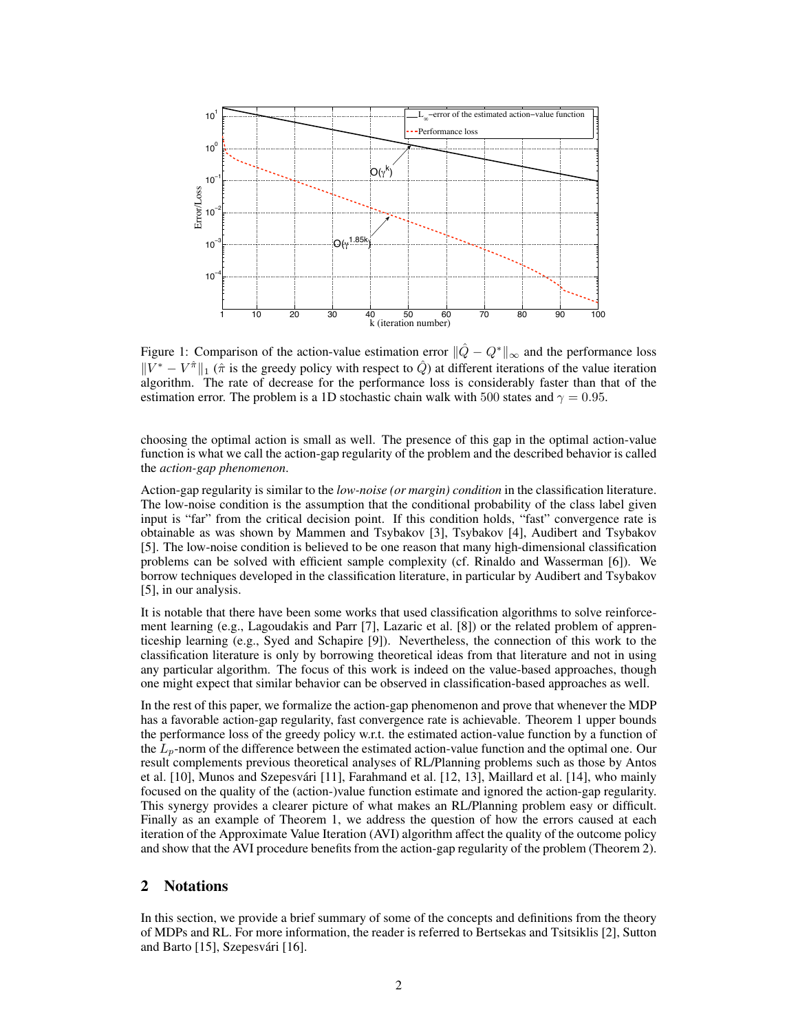

Figure 1: Comparison of the action-value estimation error  $\|\hat{Q} - Q^*\|_{\infty}$  and the performance loss  $||V^* - V^*||_1$  ( $\hat{\pi}$  is the greedy policy with respect to  $\hat{Q}$ ) at different iterations of the value iteration algorithm. The rate of decrease for the performance loss is considerably faster than that of the estimation error. The problem is a 1D stochastic chain walk with 500 states and  $\gamma = 0.95$ .

choosing the optimal action is small as well. The presence of this gap in the optimal action-value function is what we call the action-gap regularity of the problem and the described behavior is called the *action-gap phenomenon*.

Action-gap regularity is similar to the *low-noise (or margin) condition* in the classification literature. The low-noise condition is the assumption that the conditional probability of the class label given input is "far" from the critical decision point. If this condition holds, "fast" convergence rate is obtainable as was shown by Mammen and Tsybakov [3], Tsybakov [4], Audibert and Tsybakov [5]. The low-noise condition is believed to be one reason that many high-dimensional classification problems can be solved with efficient sample complexity (cf. Rinaldo and Wasserman [6]). We borrow techniques developed in the classification literature, in particular by Audibert and Tsybakov [5], in our analysis.

It is notable that there have been some works that used classification algorithms to solve reinforcement learning (e.g., Lagoudakis and Parr [7], Lazaric et al. [8]) or the related problem of apprenticeship learning (e.g., Syed and Schapire [9]). Nevertheless, the connection of this work to the classification literature is only by borrowing theoretical ideas from that literature and not in using any particular algorithm. The focus of this work is indeed on the value-based approaches, though one might expect that similar behavior can be observed in classification-based approaches as well.

In the rest of this paper, we formalize the action-gap phenomenon and prove that whenever the MDP has a favorable action-gap regularity, fast convergence rate is achievable. Theorem 1 upper bounds the performance loss of the greedy policy w.r.t. the estimated action-value function by a function of the  $L_p$ -norm of the difference between the estimated action-value function and the optimal one. Our result complements previous theoretical analyses of RL/Planning problems such as those by Antos et al. [10], Munos and Szepesvári [11], Farahmand et al. [12, 13], Maillard et al. [14], who mainly focused on the quality of the (action-)value function estimate and ignored the action-gap regularity. This synergy provides a clearer picture of what makes an RL/Planning problem easy or difficult. Finally as an example of Theorem 1, we address the question of how the errors caused at each iteration of the Approximate Value Iteration (AVI) algorithm affect the quality of the outcome policy and show that the AVI procedure benefits from the action-gap regularity of the problem (Theorem 2).

## 2 Notations

In this section, we provide a brief summary of some of the concepts and definitions from the theory of MDPs and RL. For more information, the reader is referred to Bertsekas and Tsitsiklis [2], Sutton and Barto [15], Szepesvári [16].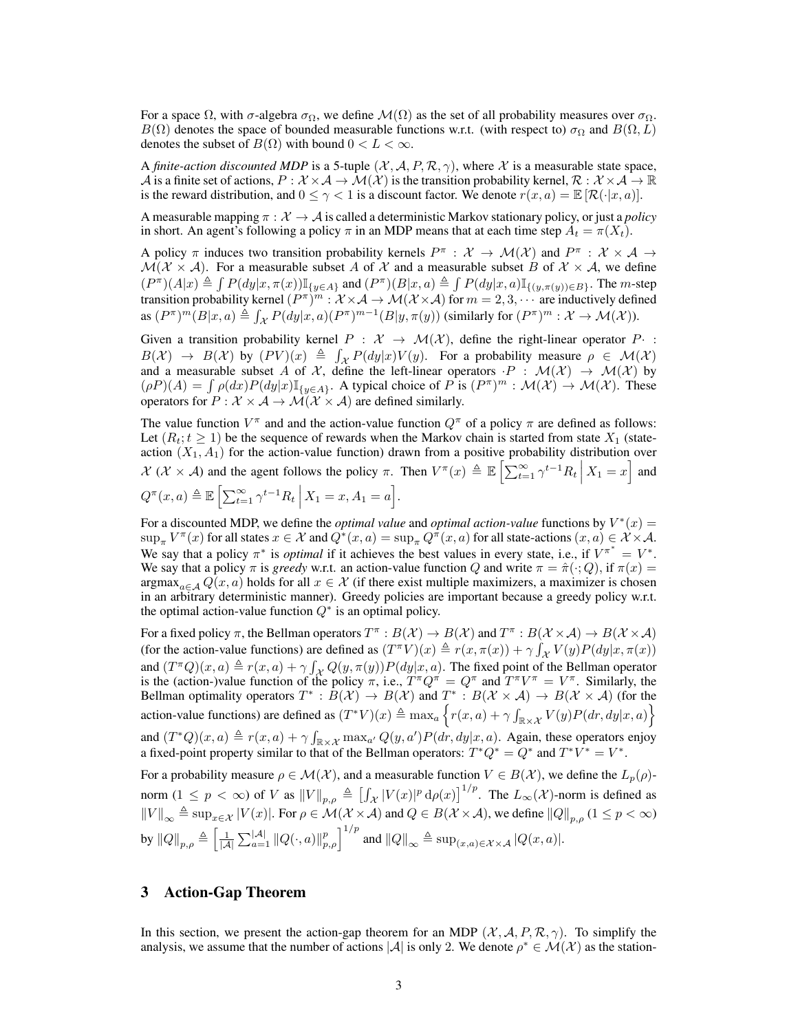For a space  $\Omega$ , with  $\sigma$ -algebra  $\sigma_{\Omega}$ , we define  $\mathcal{M}(\Omega)$  as the set of all probability measures over  $\sigma_{\Omega}$ .  $B(\Omega)$  denotes the space of bounded measurable functions w.r.t. (with respect to)  $\sigma_{\Omega}$  and  $B(\Omega, L)$ denotes the subset of  $B(\Omega)$  with bound  $0 < L < \infty$ .

A *finite-action discounted MDP* is a 5-tuple  $(\mathcal{X}, \mathcal{A}, P, \mathcal{R}, \gamma)$ , where X is a measurable state space, A is a finite set of actions,  $P: \mathcal{X} \times \mathcal{A} \to \mathcal{M}(\mathcal{X})$  is the transition probability kernel,  $\mathcal{R}: \mathcal{X} \times \mathcal{A} \to \mathbb{R}$ is the reward distribution, and  $0 \leq \gamma < 1$  is a discount factor. We denote  $r(x, a) = \mathbb{E} [\mathcal{R}(\cdot | x, a)]$ .

A measurable mapping  $\pi : \mathcal{X} \to \mathcal{A}$  is called a deterministic Markov stationary policy, or just a *policy* in short. An agent's following a policy  $\pi$  in an MDP means that at each time step  $A_t = \pi(X_t)$ .

A policy  $\pi$  induces two transition probability kernels  $P^{\pi}$  :  $\mathcal{X} \to \mathcal{M}(\mathcal{X})$  and  $P^{\pi}$  :  $\mathcal{X} \times \mathcal{A} \to$  $\mathcal{M}(\mathcal{X} \times \mathcal{A})$ . For a measurable subset A of X and a measurable subset B of  $\mathcal{X} \times \mathcal{A}$ , we define  $(P^{\pi})(A|x) \triangleq \int P(dy|x, \pi(x)) \mathbb{I}_{\{y \in A\}}$  and  $(P^{\pi})(B|x, a) \triangleq \int P(dy|x, a) \mathbb{I}_{\{(y, \pi(y)) \in B\}}$ . The *m*-step transition probability kernel  $(P^{\pi})^m : \mathcal{X} \times \mathcal{A} \to \mathcal{M}(\mathcal{X} \times \mathcal{A})$  for  $m = 2, 3, \cdots$  are inductively defined as  $(P^{\pi})^m(B|x,a) \triangleq \int_{\mathcal{X}} P(dy|x,a)(P^{\pi})^{m-1}(B|y,\pi(y))$  (similarly for  $(P^{\pi})^m : \mathcal{X} \to \mathcal{M}(\mathcal{X})$ ).

Given a transition probability kernel  $P : \mathcal{X} \to \mathcal{M}(\mathcal{X})$ , define the right-linear operator  $P \cdot$ :  $B(\mathcal{X}) \to B(\mathcal{X})$  by  $(PV)(x) \triangleq \int_{\mathcal{X}} P(dy|x)V(y)$ . For a probability measure  $\rho \in \mathcal{M}(\mathcal{X})$ and a measurable subset A of X, define the left-linear operators  $\cdot P : \mathcal{M}(\mathcal{X}) \to \mathcal{M}(\mathcal{X})$  by  $(\rho P)(A) = \int \rho(dx) P(dy|x) \mathbb{I}_{\{y \in A\}}$ . A typical choice of P is  $(P^{\pi})^m : \mathcal{M}(\mathcal{X}) \to \mathcal{M}(\mathcal{X})$ . These operators for  $P : \mathcal{X} \times \mathcal{A} \rightarrow \mathcal{M}(\mathcal{X} \times \mathcal{A})$  are defined similarly.

The value function  $V^{\pi}$  and and the action-value function  $Q^{\pi}$  of a policy  $\pi$  are defined as follows: Let  $(R_t; t \geq 1)$  be the sequence of rewards when the Markov chain is started from state  $X_1$  (stateaction  $(X_1, A_1)$  for the action-value function) drawn from a positive probability distribution over  $\mathcal{X}$  ( $\mathcal{X} \times \mathcal{A}$ ) and the agent follows the policy  $\pi$ . Then  $V^{\pi}(x) \triangleq \mathbb{E}\left[\sum_{t=1}^{\infty} \gamma^{t-1} R_t | X_1 = x\right]$  and

$$
Q^{\pi}(x, a) \triangleq \mathbb{E}\left[\sum_{t=1}^{\infty} \gamma^{t-1} R_t \, \middle| \, X_1 = x, A_1 = a\right].
$$

For a discounted MDP, we define the *optimal value* and *optimal action-value* functions by  $V^*(x) =$  $\sup_{\pi} V^{\pi}(x)$  for all states  $x \in \mathcal{X}$  and  $Q^*(x,a) = \sup_{\pi} Q^{\pi}(x,a)$  for all state-actions  $(x,a) \in \mathcal{X} \times \mathcal{A}$ . We say that a policy  $\pi^*$  is *optimal* if it achieves the best values in every state, i.e., if  $V^{\pi^*} = V^*$ . We say that a policy  $\pi$  is *greedy* w.r.t. an action-value function Q and write  $\pi = \hat{\pi}(\cdot; Q)$ , if  $\pi(x) =$ argmax<sub>a∈ A</sub>  $Q(x, a)$  holds for all  $x \in \mathcal{X}$  (if there exist multiple maximizers, a maximizer is chosen in an arbitrary deterministic manner). Greedy policies are important because a greedy policy w.r.t. the optimal action-value function  $Q^*$  is an optimal policy.

For a fixed policy  $\pi$ , the Bellman operators  $T^{\pi}: B(\mathcal{X}) \to B(\mathcal{X})$  and  $T^{\pi}: B(\mathcal{X} \times \mathcal{A}) \to B(\mathcal{X} \times \mathcal{A})$ (for the action-value functions) are defined as  $(T^{\pi}V)(x) \triangleq r(x, \pi(x)) + \gamma \int_{\mathcal{X}} V(y)P(dy|x, \pi(x))$ and  $(T^{\pi}Q)(x, a) \triangleq r(x, a) + \gamma \int_{\mathcal{X}} Q(y, \pi(y)) P(dy|x, a)$ . The fixed point of the Bellman operator is the (action-)value function of the policy  $\pi$ , i.e.,  $T^{\pi}Q^{\pi} = Q^{\pi}$  and  $T^{\pi}V^{\pi} = V^{\pi}$ . Similarly, the Bellman optimality operators  $T^* : B(\mathcal{X}) \to B(\mathcal{X})$  and  $T^* : B(\mathcal{X} \times \mathcal{A}) \to B(\mathcal{X} \times \mathcal{A})$  (for the action-value functions) are defined as  $(T^*V)(x) \triangleq \max_a \left\{ r(x,a) + \gamma \int_{\mathbb{R} \times \mathcal{X}} V(y) P(dr, dy | x, a) \right\}$ and  $(T^*Q)(x, a) \triangleq r(x, a) + \gamma \int_{\mathbb{R} \times \mathcal{X}} \max_{a'} Q(y, a') P(dr, dy | x, a)$ . Again, these operators enjoy a fixed-point property similar to that of the Bellman operators:  $T^*Q^* = Q^*$  and  $T^*V^* = V^*$ .

For a probability measure  $\rho \in \mathcal{M}(\mathcal{X})$ , and a measurable function  $V \in B(\mathcal{X})$ , we define the  $L_p(\rho)$ norm  $(1 \le p < \infty)$  of V as  $||V||_{p,\rho} \triangleq \left[ \int_{\mathcal{X}} |V(x)|^p \, d\rho(x) \right]^{1/p}$ . The  $L_{\infty}(\mathcal{X})$ -norm is defined as  $\|V\|_{\infty} \triangleq \sup_{x \in \mathcal{X}} |V(x)|$ . For  $\rho \in \mathcal{M}(\mathcal{X} \times \mathcal{A})$  and  $Q \in B(\mathcal{X} \times \mathcal{A})$ , we define  $\|Q\|_{p,\rho}$   $(1 \leq p < \infty)$ by  $||Q||_{p,\rho} \triangleq \left[\frac{1}{|\mathcal{A}|} \sum_{a=1}^{|\mathcal{A}|} ||Q(\cdot,a)||_{p,\rho}^p\right]^{1/p}$  and  $||Q||_{\infty} \triangleq \sup_{(x,a)\in\mathcal{X}\times\mathcal{A}} |Q(x,a)|$ .

## 3 Action-Gap Theorem

In this section, we present the action-gap theorem for an MDP  $(\mathcal{X}, \mathcal{A}, P, \mathcal{R}, \gamma)$ . To simplify the analysis, we assume that the number of actions |A| is only 2. We denote  $\rho^* \in \mathcal{M}(\mathcal{X})$  as the station-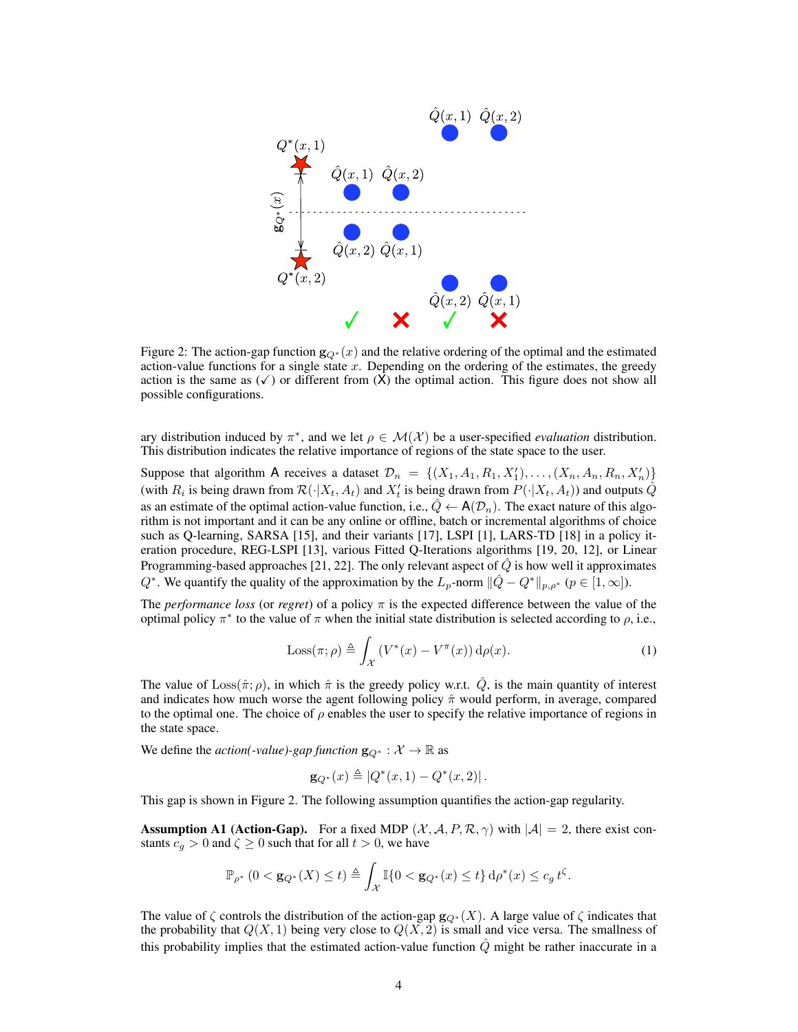

Figure 2: The action-gap function  $g_{Q^*}(x)$  and the relative ordering of the optimal and the estimated action-value functions for a single state  $x$ . Depending on the ordering of the estimates, the greedy action is the same as  $(\checkmark)$  or different from  $(X)$  the optimal action. This figure does not show all possible configurations.

ary distribution induced by  $\pi^*$ , and we let  $\rho \in \mathcal{M}(\mathcal{X})$  be a user-specified *evaluation* distribution. This distribution indicates the relative importance of regions of the state space to the user.

Suppose that algorithm A receives a dataset  $\mathcal{D}_n = \{ (X_1, A_1, R_1, X'_1), \ldots, (X_n, A_n, R_n, X'_n) \}$ (with  $R_i$  is being drawn from  $\mathcal{R}(\cdot|X_t, A_t)$  and  $X_t$  is being drawn from  $P(\cdot|X_t, A_t)$ ) and outputs  $\hat{Q}$ as an estimate of the optimal action-value function, i.e.,  $Q \leftarrow A(\mathcal{D}_n)$ . The exact nature of this algorithm is not important and it can be any online or offline, batch or incremental algorithms of choice such as Q-learning, SARSA [15], and their variants [17], LSPI [1], LARS-TD [18] in a policy iteration procedure, REG-LSPI [13], various Fitted Q-Iterations algorithms [19, 20, 12], or Linear Programming-based approaches [21, 22]. The only relevant aspect of  $Q$  is how well it approximates  $Q^*$ . We quantify the quality of the approximation by the  $L_p$ -norm  $\|\hat{Q} - Q^*\|_{p,\rho^*}$  ( $p \in [1,\infty]$ ).

The *performance loss* (or *regret*) of a policy  $\pi$  is the expected difference between the value of the optimal policy  $\pi^*$  to the value of  $\pi$  when the initial state distribution is selected according to  $\rho$ , i.e.,

$$
\text{Loss}(\pi; \rho) \triangleq \int_{\mathcal{X}} \left( V^*(x) - V^{\pi}(x) \right) \mathrm{d}\rho(x). \tag{1}
$$

The value of  $Loss(\hat{\pi}; \rho)$ , in which  $\hat{\pi}$  is the greedy policy w.r.t.  $\hat{Q}$ , is the main quantity of interest and indicates how much worse the agent following policy  $\hat{\pi}$  would perform, in average, compared to the optimal one. The choice of  $\rho$  enables the user to specify the relative importance of regions in the state space.

We define the *action(-value)-gap function*  $\mathbf{g}_{Q^*}: \mathcal{X} \to \mathbb{R}$  as

$$
\mathbf{g}_{Q^*}(x) \triangleq |Q^*(x,1) - Q^*(x,2)|.
$$

This gap is shown in Figure 2. The following assumption quantifies the action-gap regularity.

**Assumption A1 (Action-Gap).** For a fixed MDP  $(\mathcal{X}, \mathcal{A}, P, \mathcal{R}, \gamma)$  with  $|\mathcal{A}| = 2$ , there exist constants  $c_g > 0$  and  $\zeta \ge 0$  such that for all  $t > 0$ , we have

$$
\mathbb{P}_{\rho^*} \left( 0 < \mathbf{g}_{Q^*}(X) \le t \right) \triangleq \int_{\mathcal{X}} \mathbb{I}\{0 < \mathbf{g}_{Q^*}(x) \le t\} \, \mathrm{d}\rho^*(x) \le c_g \, t^\zeta.
$$

The value of  $\zeta$  controls the distribution of the action-gap  $\mathbf{g}_{Q^*}(X)$ . A large value of  $\zeta$  indicates that the probability that  $Q(X, 1)$  being very close to  $Q(X, 2)$  is small and vice versa. The smallness of this probability implies that the estimated action-value function  $\hat{Q}$  might be rather inaccurate in a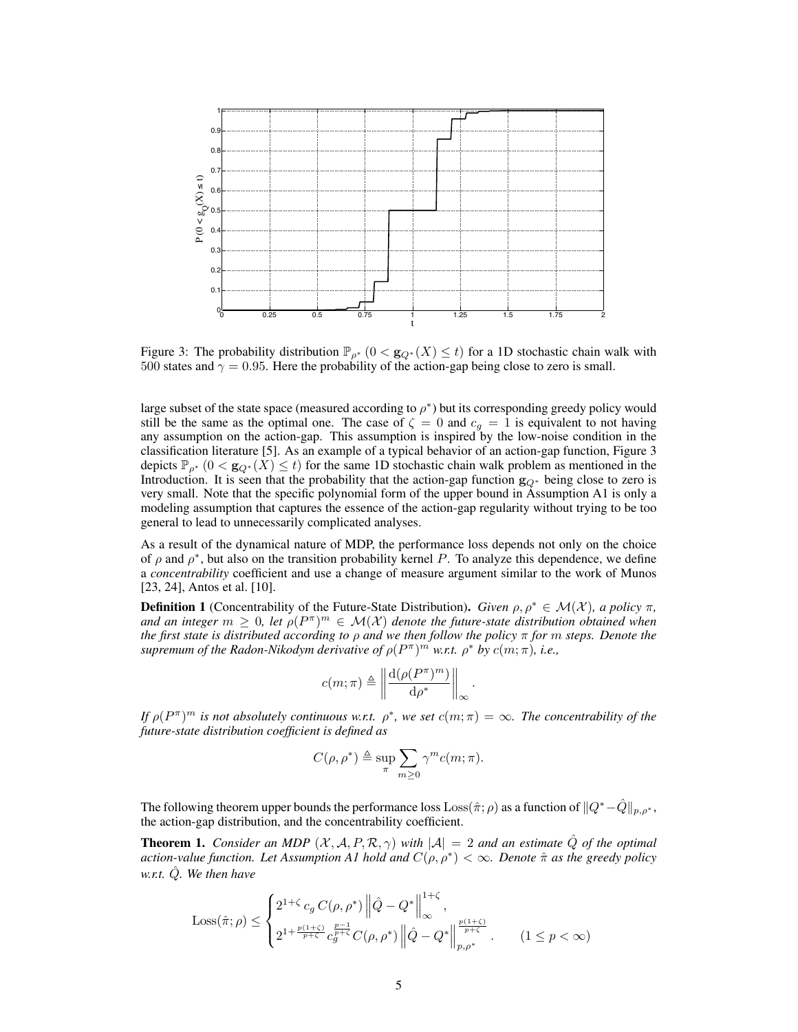

Figure 3: The probability distribution  $\mathbb{P}_{\rho^*}$   $(0 < g_{Q^*}(X) \le t)$  for a 1D stochastic chain walk with 500 states and  $\gamma = 0.95$ . Here the probability of the action-gap being close to zero is small.

large subset of the state space (measured according to  $\rho^*$ ) but its corresponding greedy policy would still be the same as the optimal one. The case of  $\zeta = 0$  and  $c_g = 1$  is equivalent to not having any assumption on the action-gap. This assumption is inspired by the low-noise condition in the classification literature [5]. As an example of a typical behavior of an action-gap function, Figure 3 depicts  $\mathbb{P}_{\rho^*}$  ( $0 < g_{Q^*}(X) \le t$ ) for the same 1D stochastic chain walk problem as mentioned in the Introduction. It is seen that the probability that the action-gap function  $g_{Q^*}$  being close to zero is very small. Note that the specific polynomial form of the upper bound in Assumption A1 is only a modeling assumption that captures the essence of the action-gap regularity without trying to be too general to lead to unnecessarily complicated analyses.

As a result of the dynamical nature of MDP, the performance loss depends not only on the choice of  $\rho$  and  $\rho^*$ , but also on the transition probability kernel P. To analyze this dependence, we define a *concentrability* coefficient and use a change of measure argument similar to the work of Munos [23, 24], Antos et al. [10].

**Definition 1** (Concentrability of the Future-State Distribution). *Given*  $\rho, \rho^* \in \mathcal{M}(\mathcal{X})$ *, a policy*  $\pi$ *,* and an integer  $m \geq 0$ , let  $\rho(P^{\pi})^m \in \mathcal{M}(\mathcal{X})$  denote the future-state distribution obtained when *the first state is distributed according to* ρ *and we then follow the policy* π *for* m *steps. Denote the supremum of the Radon-Nikodym derivative of*  $\rho(P^{\pi})^m$  *w.r.t.*  $\rho^*$  *by*  $c(m;\pi)$ *, i.e.,* 

$$
c(m;\pi) \triangleq \left\| \frac{\mathrm{d}(\rho(P^\pi)^m)}{\mathrm{d}\rho^*} \right\|_\infty
$$

.

*If*  $\rho(P^{\pi})^m$  is not absolutely continuous w.r.t.  $\rho^*$ , we set  $c(m; \pi) = \infty$ . The concentrability of the *future-state distribution coefficient is defined as*

$$
C(\rho, \rho^*) \triangleq \sup_{\pi} \sum_{m \ge 0} \gamma^m c(m; \pi).
$$

The following theorem upper bounds the performance loss Loss( $\hat{\pi}$ ;  $\rho$ ) as a function of  $||Q^*-\hat{Q}||_{p,\rho^*}$ , the action-gap distribution, and the concentrability coefficient.

**Theorem 1.** *Consider an MDP*  $(X, A, P, \mathcal{R}, \gamma)$  *with*  $|A| = 2$  *and an estimate*  $\hat{Q}$  *of the optimal action-value function. Let Assumption A1 hold and* C(ρ, ρ<sup>∗</sup> ) < ∞*. Denote* πˆ *as the greedy policy w.r.t.* Qˆ*. We then have*

$$
\text{Loss}(\hat{\pi}; \rho) \le \begin{cases} 2^{1+\zeta} c_g C(\rho, \rho^*) \left\| \hat{Q} - Q^* \right\|_{\infty}^{1+\zeta}, \\ 2^{1 + \frac{p(1+\zeta)}{p+\zeta}} c_g^{\frac{p-1}{p+\zeta}} C(\rho, \rho^*) \left\| \hat{Q} - Q^* \right\|_{p, \rho^*}^{\frac{p(1+\zeta)}{p+\zeta}}. \end{cases} (1 \le p < \infty)
$$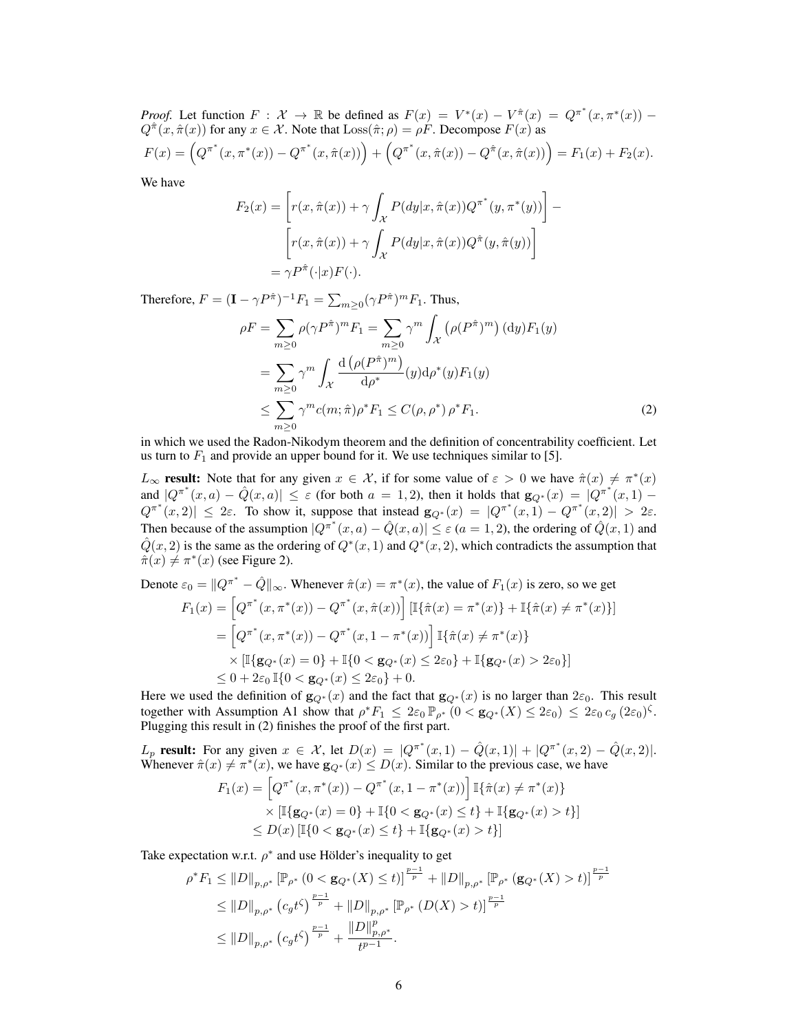*Proof.* Let function  $F: \mathcal{X} \to \mathbb{R}$  be defined as  $F(x) = V^*(x) - V^{\hat{\pi}}(x) = Q^{\pi^*}(x, \pi^*(x))$  $Q^{\hat{\pi}}(x, \hat{\pi}(x))$  for any  $x \in \mathcal{X}$ . Note that  $\text{Loss}(\hat{\pi}; \rho) = \rho \hat{F}$ . Decompose  $F(x)$  as  $F(x) = \left(Q^{\pi^*}(x, \pi^*(x)) - Q^{\pi^*}(x, \hat{\pi}(x))\right) + \left(Q^{\pi^*}(x, \hat{\pi}(x)) - Q^{\hat{\pi}}(x, \hat{\pi}(x))\right) = F_1(x) + F_2(x).$ 

We have

$$
F_2(x) = \left[ r(x, \hat{\pi}(x)) + \gamma \int_{\mathcal{X}} P(dy|x, \hat{\pi}(x)) Q^{\pi^*}(y, \pi^*(y)) \right] -
$$

$$
\left[ r(x, \hat{\pi}(x)) + \gamma \int_{\mathcal{X}} P(dy|x, \hat{\pi}(x)) Q^{\hat{\pi}}(y, \hat{\pi}(y)) \right]
$$

$$
= \gamma P^{\hat{\pi}}(\cdot | x) F(\cdot).
$$

Therefore,  $F = (\mathbf{I} - \gamma P^{\hat{\pi}})^{-1} F_1 = \sum_{m \geq 0} (\gamma P^{\hat{\pi}})^m F_1$ . Thus,

$$
\rho F = \sum_{m\geq 0} \rho(\gamma P^{\hat{\pi}})^m F_1 = \sum_{m\geq 0} \gamma^m \int_{\mathcal{X}} \left(\rho(P^{\hat{\pi}})^m\right) (\mathrm{d}y) F_1(y)
$$
  
\n
$$
= \sum_{m\geq 0} \gamma^m \int_{\mathcal{X}} \frac{\mathrm{d}\left(\rho(P^{\hat{\pi}})^m\right)}{\mathrm{d}\rho^*} (y) \mathrm{d}\rho^*(y) F_1(y)
$$
  
\n
$$
\leq \sum_{m\geq 0} \gamma^m c(m; \hat{\pi}) \rho^* F_1 \leq C(\rho, \rho^*) \rho^* F_1. \tag{2}
$$

in which we used the Radon-Nikodym theorem and the definition of concentrability coefficient. Let us turn to  $F_1$  and provide an upper bound for it. We use techniques similar to [5].

 $L_{\infty}$  result: Note that for any given  $x \in \mathcal{X}$ , if for some value of  $\varepsilon > 0$  we have  $\hat{\pi}(x) \neq \pi^*(x)$ and  $|Q^{\pi^*}(x, a) - \hat{Q}(x, a)| \leq \varepsilon$  (for both  $a = 1, 2$ ), then it holds that  $\mathbf{g}_{Q^*}(x) = |Q^{\pi^*}(x, 1) Q^{\pi^*}(x, 2)| \leq 2\varepsilon$ . To show it, suppose that instead  $\mathbf{g}_{Q^*}(x) = |Q^{\pi^*}(x, 1) - Q^{\pi^*}(x, 2)| > 2\varepsilon$ . Then because of the assumption  $|Q^{\pi^*}(x, a) - \hat{Q}(x, a)| \leq \varepsilon (a = 1, 2)$ , the ordering of  $\hat{Q}(x, 1)$  and  $\hat{Q}(x, 2)$  is the same as the ordering of  $Q^*(x, 1)$  and  $Q^*(x, 2)$ , which contradicts the assumption that  $\hat{\pi}(x) \neq \pi^*(x)$  (see Figure 2).

Denote 
$$
\varepsilon_0 = ||Q^{\pi^*} - \hat{Q}||_{\infty}
$$
. Whenever  $\hat{\pi}(x) = \pi^*(x)$ , the value of  $F_1(x)$  is zero, so we get  
\n
$$
F_1(x) = \left[Q^{\pi^*}(x, \pi^*(x)) - Q^{\pi^*}(x, \hat{\pi}(x))\right] [\mathbb{I}\{\hat{\pi}(x) = \pi^*(x)\} + \mathbb{I}\{\hat{\pi}(x) \neq \pi^*(x)\}]
$$
\n
$$
= \left[Q^{\pi^*}(x, \pi^*(x)) - Q^{\pi^*}(x, 1 - \pi^*(x))\right] \mathbb{I}\{\hat{\pi}(x) \neq \pi^*(x)\}
$$
\n
$$
\times [\mathbb{I}\{\mathbf{g}_{Q^*}(x) = 0\} + \mathbb{I}\{0 < \mathbf{g}_{Q^*}(x) \le 2\varepsilon_0\} + \mathbb{I}\{\mathbf{g}_{Q^*}(x) > 2\varepsilon_0\}]
$$
\n
$$
\le 0 + 2\varepsilon_0 \mathbb{I}\{0 < \mathbf{g}_{Q^*}(x) \le 2\varepsilon_0\} + 0.
$$

Here we used the definition of  $g_{Q^*}(x)$  and the fact that  $g_{Q^*}(x)$  is no larger than  $2\varepsilon_0$ . This result together with Assumption A1 show that  $\rho^* F_1 \leq 2\varepsilon_0 \mathbb{P}_{\rho^*}$   $(0 < g_{Q^*}(X) \leq 2\varepsilon_0) \leq 2\varepsilon_0 c_g (2\varepsilon_0)^{\zeta}$ . Plugging this result in (2) finishes the proof of the first part.

 $L_p$  result: For any given  $x \in \mathcal{X}$ , let  $D(x) = |Q^{\pi^*}(x,1) - \hat{Q}(x,1)| + |Q^{\pi^*}(x,2) - \hat{Q}(x,2)|$ . Whenever  $\hat{\pi}(x) \neq \pi^*(x)$ , we have  $\mathbf{g}_{Q^*}(x) \leq D(x)$ . Similar to the previous case, we have

$$
F_1(x) = \left[Q^{\pi^*}(x, \pi^*(x)) - Q^{\pi^*}(x, 1 - \pi^*(x))\right] \mathbb{I}\{\hat{\pi}(x) \neq \pi^*(x)\}
$$
  
 
$$
\times \left[\mathbb{I}\{\mathbf{g}_{Q^*}(x) = 0\} + \mathbb{I}\{0 < \mathbf{g}_{Q^*}(x) \le t\} + \mathbb{I}\{\mathbf{g}_{Q^*}(x) > t\}\right]
$$
  
 
$$
\le D(x) \left[\mathbb{I}\{0 < \mathbf{g}_{Q^*}(x) \le t\} + \mathbb{I}\{\mathbf{g}_{Q^*}(x) > t\}\right]
$$

Take expectation w.r.t.  $\rho^*$  and use Hölder's inequality to get

$$
\rho^* F_1 \leq ||D||_{p,\rho^*} \left[ \mathbb{P}_{\rho^*} \left( 0 < \mathbf{g}_{Q^*}(X) \leq t \right) \right]^{\frac{p-1}{p}} + ||D||_{p,\rho^*} \left[ \mathbb{P}_{\rho^*} \left( \mathbf{g}_{Q^*}(X) > t \right) \right]^{\frac{p-1}{p}} \n\leq ||D||_{p,\rho^*} \left( c_g t^{\zeta} \right)^{\frac{p-1}{p}} + ||D||_{p,\rho^*} \left[ \mathbb{P}_{\rho^*} \left( D(X) > t \right) \right]^{\frac{p-1}{p}} \n\leq ||D||_{p,\rho^*} \left( c_g t^{\zeta} \right)^{\frac{p-1}{p}} + \frac{||D||_{p,\rho^*}^p}{t^{p-1}}.
$$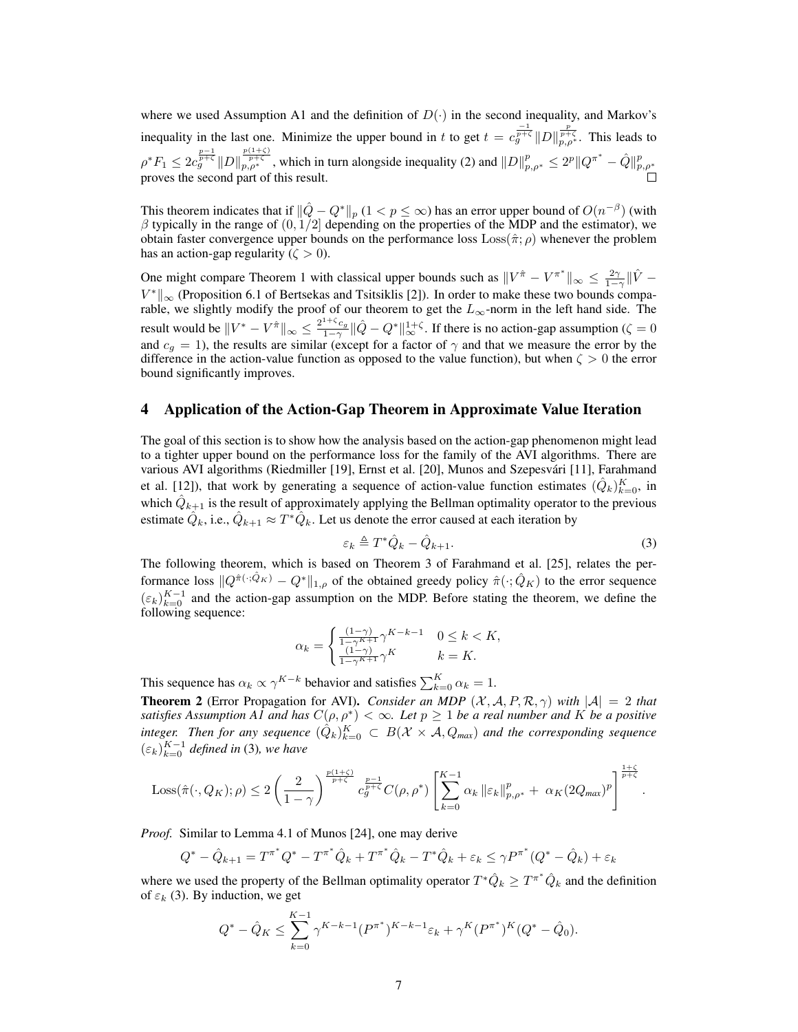where we used Assumption A1 and the definition of  $D(\cdot)$  in the second inequality, and Markov's inequality in the last one. Minimize the upper bound in t to get  $t = c_g^{\frac{-1}{p+\zeta}} ||D||_{p,\rho^*}^{\frac{p}{p+\zeta}}$ . This leads to  $\rho^* F_1 \leq 2c_g^{\frac{p-1}{p+{\zeta}}}\|D\|_{p,\rho^*}^{\frac{p(1+{\zeta})}{p+{\zeta}}}$ , which in turn alongside inequality (2) and  $||D||_{p,\rho^*}^p \leq 2^p||Q^{\pi^*}-\hat{Q}||_{p,\rho^*}^p$ proves the second part of this result.

This theorem indicates that if  $\|\hat{Q} - Q^*\|_p (1 \lt p \leq \infty)$  has an error upper bound of  $O(n^{-\beta})$  (with  $\beta$  typically in the range of  $(0, 1/2]$  depending on the properties of the MDP and the estimator), we obtain faster convergence upper bounds on the performance loss  $\text{Loss}(\hat{\pi}; \rho)$  whenever the problem has an action-gap regularity ( $\zeta > 0$ ).

One might compare Theorem 1 with classical upper bounds such as  $||V^{\hat{\pi}} - V^{\pi^*}||_{\infty} \le \frac{2\gamma}{1-\gamma} ||\hat{V} - \hat{V}||_{\infty}$  $V^*$  |  $\infty$  (Proposition 6.1 of Bertsekas and Tsitsiklis [2]). In order to make these two bounds comparable, we slightly modify the proof of our theorem to get the  $L_{\infty}$ -norm in the left hand side. The result would be  $||V^* - V^{\hat{\pi}}||_{\infty} \le \frac{2^{1+\zeta}c_g}{1-\gamma} ||\hat{Q} - Q^*||_{\infty}^{1+\zeta}$ . If there is no action-gap assumption ( $\zeta = 0$ and  $c_g = 1$ ), the results are similar (except for a factor of  $\gamma$  and that we measure the error by the difference in the action-value function as opposed to the value function), but when  $\zeta > 0$  the error bound significantly improves.

### 4 Application of the Action-Gap Theorem in Approximate Value Iteration

The goal of this section is to show how the analysis based on the action-gap phenomenon might lead to a tighter upper bound on the performance loss for the family of the AVI algorithms. There are various AVI algorithms (Riedmiller [19], Ernst et al. [20], Munos and Szepesvari [11], Farahmand ´ et al. [12]), that work by generating a sequence of action-value function estimates  $(\hat{Q}_k)_{k=0}^K$ , in which  $\hat{Q}_{k+1}$  is the result of approximately applying the Bellman optimality operator to the previous estimate  $\hat{Q}_k$ , i.e.,  $\hat{Q}_{k+1} \approx T^* \hat{Q}_k$ . Let us denote the error caused at each iteration by

$$
\varepsilon_k \triangleq T^* \hat{Q}_k - \hat{Q}_{k+1}.
$$
\n(3)

The following theorem, which is based on Theorem 3 of Farahmand et al. [25], relates the performance loss  $||Q^{\hat{\pi}(\cdot;\hat{Q}_K)} - Q^*||_{1,\rho}$  of the obtained greedy policy  $\hat{\pi}(\cdot;\hat{Q}_K)$  to the error sequence  $(\varepsilon_k)_{k=0}^{K-1}$  and the action-gap assumption on the MDP. Before stating the theorem, we define the following sequence:

$$
\alpha_k = \begin{cases} \frac{(1-\gamma)}{1-\gamma^{K+1}} \gamma^{K-k-1} & 0 \le k < K, \\ \frac{(1-\gamma)}{1-\gamma^{K+1}} \gamma^{K} & k = K. \end{cases}
$$

This sequence has  $\alpha_k \propto \gamma^{K-k}$  behavior and satisfies  $\sum_{k=0}^{K} \alpha_k = 1$ .

**Theorem 2** (Error Propagation for AVI). *Consider an MDP*  $(X, A, P, \mathcal{R}, \gamma)$  *with*  $|A| = 2$  *that satisfies Assumption A1 and has*  $C(\rho, \rho^*) < \infty$ . Let  $p \ge 1$  *be a real number and* K *be a positive* integer. Then for any sequence  $(\hat{Q}_k)_{k=0}^K \subset B(\mathcal{X} \times \mathcal{A}, Q_{max})$  and the corresponding sequence  $(\varepsilon_k)_{k=0}^{K-1}$  defined in (3), we have

$$
\text{Loss}(\hat{\pi}(\cdot, Q_K); \rho) \leq 2 \left(\frac{2}{1-\gamma}\right)^{\frac{p(1+\zeta)}{p+\zeta}} c_g^{\frac{p-1}{p+\zeta}} C(\rho, \rho^*) \left[\sum_{k=0}^{K-1} \alpha_k \left\|\varepsilon_k\right\|_{p,\rho^*}^p + \left\|\alpha_K(2Q_{\text{max}})^p\right\|^{\frac{1+\zeta}{p+\zeta}}.
$$

*Proof.* Similar to Lemma 4.1 of Munos [24], one may derive

$$
Q^* - \hat{Q}_{k+1} = T^{\pi^*} Q^* - T^{\pi^*} \hat{Q}_k + T^{\pi^*} \hat{Q}_k - T^* \hat{Q}_k + \varepsilon_k \le \gamma P^{\pi^*} (Q^* - \hat{Q}_k) + \varepsilon_k
$$

where we used the property of the Bellman optimality operator  $T^*\hat{Q}_k \geq T^{\pi^*}\hat{Q}_k$  and the definition of  $\varepsilon_k$  (3). By induction, we get

$$
Q^* - \hat{Q}_K \le \sum_{k=0}^{K-1} \gamma^{K-k-1} (P^{\pi^*})^{K-k-1} \varepsilon_k + \gamma^K (P^{\pi^*})^K (Q^* - \hat{Q}_0).
$$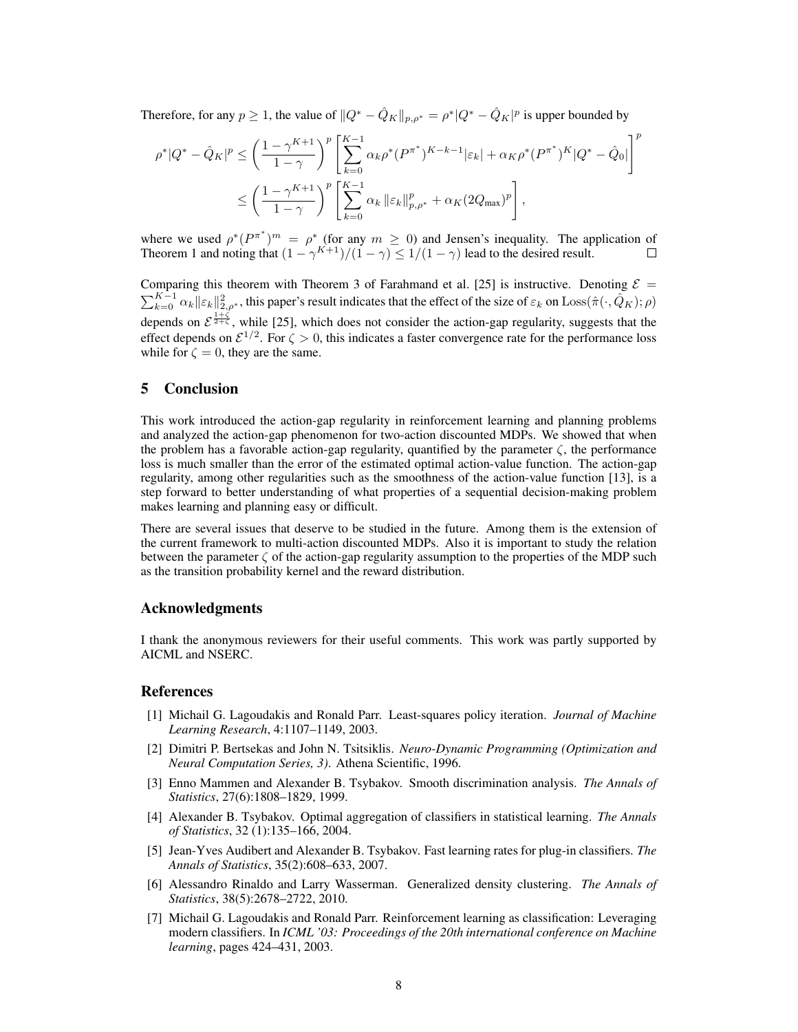Therefore, for any  $p \ge 1$ , the value of  $||Q^* - \hat{Q}_K||_{p,\rho^*} = \rho^*|Q^* - \hat{Q}_K|^p$  is upper bounded by

$$
\rho^*|Q^* - \hat{Q}_K|^p \le \left(\frac{1-\gamma^{K+1}}{1-\gamma}\right)^p \left[\sum_{k=0}^{K-1} \alpha_k \rho^*(P^{\pi^*})^{K-k-1} |\varepsilon_k| + \alpha_K \rho^*(P^{\pi^*})^K |Q^* - \hat{Q}_0|\right]^p
$$
  

$$
\le \left(\frac{1-\gamma^{K+1}}{1-\gamma}\right)^p \left[\sum_{k=0}^{K-1} \alpha_k \left\|\varepsilon_k\right\|_{p,\rho^*}^p + \alpha_K (2Q_{\text{max}})^p\right],
$$

where we used  $\rho^*(P^{\pi^*})^m = \rho^*$  (for any  $m \ge 0$ ) and Jensen's inequality. The application of Theorem 1 and noting that  $(1 - \gamma^{K+1})/(1 - \gamma) \le 1/(1 - \gamma)$  lead to the desired result.

Comparing this theorem with Theorem 3 of Farahmand et al. [25] is instructive. Denoting  $\mathcal{E} =$  $\sum_{k=0}^{K-1} \alpha_k ||\varepsilon_k||_{2,\rho^*}^2$ , this paper's result indicates that the effect of the size of  $\varepsilon_k$  on  $\text{Loss}(\hat{\pi}(\cdot,\hat{Q}_K);\rho)$ depends on  $\mathcal{E}^{\frac{1+\zeta}{2+\zeta}}$ , while [25], which does not consider the action-gap regularity, suggests that the effect depends on  $\mathcal{E}^{1/2}$ . For  $\zeta > 0$ , this indicates a faster convergence rate for the performance loss while for  $\zeta = 0$ , they are the same.

### 5 Conclusion

This work introduced the action-gap regularity in reinforcement learning and planning problems and analyzed the action-gap phenomenon for two-action discounted MDPs. We showed that when the problem has a favorable action-gap regularity, quantified by the parameter  $\zeta$ , the performance loss is much smaller than the error of the estimated optimal action-value function. The action-gap regularity, among other regularities such as the smoothness of the action-value function [13], is a step forward to better understanding of what properties of a sequential decision-making problem makes learning and planning easy or difficult.

There are several issues that deserve to be studied in the future. Among them is the extension of the current framework to multi-action discounted MDPs. Also it is important to study the relation between the parameter  $\zeta$  of the action-gap regularity assumption to the properties of the MDP such as the transition probability kernel and the reward distribution.

## Acknowledgments

I thank the anonymous reviewers for their useful comments. This work was partly supported by AICML and NSERC.

#### References

- [1] Michail G. Lagoudakis and Ronald Parr. Least-squares policy iteration. *Journal of Machine Learning Research*, 4:1107–1149, 2003.
- [2] Dimitri P. Bertsekas and John N. Tsitsiklis. *Neuro-Dynamic Programming (Optimization and Neural Computation Series, 3)*. Athena Scientific, 1996.
- [3] Enno Mammen and Alexander B. Tsybakov. Smooth discrimination analysis. *The Annals of Statistics*, 27(6):1808–1829, 1999.
- [4] Alexander B. Tsybakov. Optimal aggregation of classifiers in statistical learning. *The Annals of Statistics*, 32 (1):135–166, 2004.
- [5] Jean-Yves Audibert and Alexander B. Tsybakov. Fast learning rates for plug-in classifiers. *The Annals of Statistics*, 35(2):608–633, 2007.
- [6] Alessandro Rinaldo and Larry Wasserman. Generalized density clustering. *The Annals of Statistics*, 38(5):2678–2722, 2010.
- [7] Michail G. Lagoudakis and Ronald Parr. Reinforcement learning as classification: Leveraging modern classifiers. In *ICML '03: Proceedings of the 20th international conference on Machine learning*, pages 424–431, 2003.